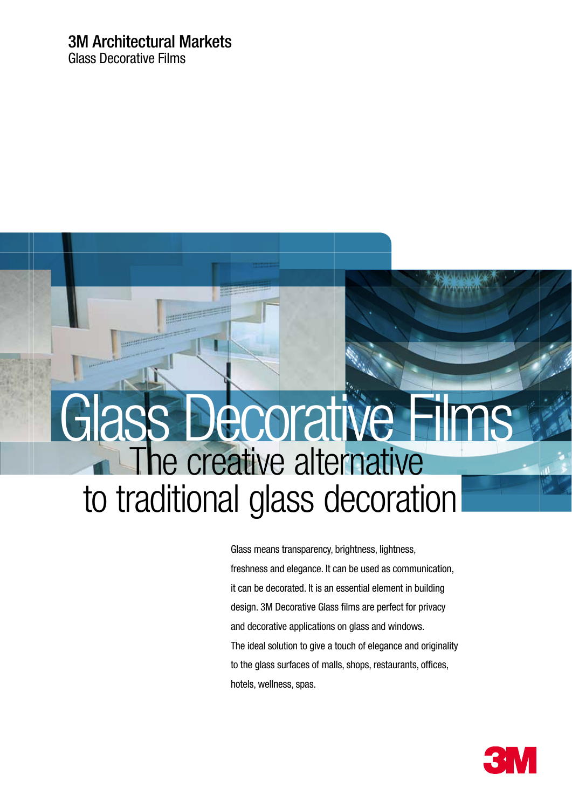#### 3M Architectural Markets

Glass Decorative Films

# ss Decorative F to traditional glass decoration The creative alternative

Glass means transparency, brightness, lightness, freshness and elegance. It can be used as communication, it can be decorated. It is an essential element in building design. 3M Decorative Glass films are perfect for privacy and decorative applications on glass and windows. The ideal solution to give a touch of elegance and originality to the glass surfaces of malls, shops, restaurants, offices, hotels, wellness, spas.

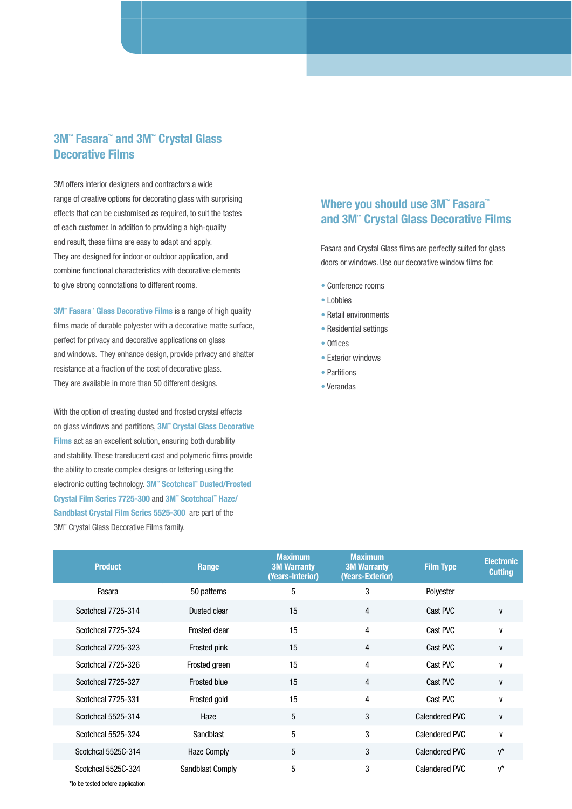#### 3M™ Fasara™ and 3M™ Crystal Glass Decorative Films

3M offers interior designers and contractors a wide range of creative options for decorating glass with surprising effects that can be customised as required, to suit the tastes of each customer. In addition to providing a high-quality end result, these films are easy to adapt and apply. They are designed for indoor or outdoor application, and combine functional characteristics with decorative elements to give strong connotations to different rooms.

3M<sup>™</sup> Fasara<sup>™</sup> Glass Decorative Films is a range of high quality films made of durable polyester with a decorative matte surface, perfect for privacy and decorative applications on glass and windows. They enhance design, provide privacy and shatter resistance at a fraction of the cost of decorative glass. They are available in more than 50 different designs.

With the option of creating dusted and frosted crystal effects on glass windows and partitions, 3M<sup>™</sup> Crystal Glass Decorative Films act as an excellent solution, ensuring both durability and stability. These translucent cast and polymeric films provide the ability to create complex designs or lettering using the electronic cutting technology. 3M<sup>™</sup> Scotchcal™ Dusted/Frosted Crystal Film Series 7725-300 and 3M™ Scotchcal™ Haze/ Sandblast Crystal Film Series 5525-300 are part of the 3M<sup>™</sup> Crystal Glass Decorative Films family.

#### Where you should use 3M™ Fasara™ and 3M™ Crystal Glass Decorative Films

Fasara and Crystal Glass films are perfectly suited for glass doors or windows. Use our decorative window films for:

- Conference rooms
- Lobbies
- Retail environments
- Residential settings
- Offices
- Exterior windows
- Partitions
- Verandas

|  | <b>Product</b>      | Range                   | <b>Maximum</b><br><b>3M Warranty</b><br>(Years-Interior) | <b>Maximum</b><br><b>3M Warranty</b><br>(Years-Exterior) | <b>Film Type</b> | <b>Electronic</b><br><b>Cutting</b> |
|--|---------------------|-------------------------|----------------------------------------------------------|----------------------------------------------------------|------------------|-------------------------------------|
|  | Fasara              | 50 patterns             | 5                                                        | 3                                                        | Polyester        |                                     |
|  | Scotchcal 7725-314  | Dusted clear            | 15                                                       | 4                                                        | Cast PVC         | $\mathsf{V}$                        |
|  | Scotchcal 7725-324  | <b>Frosted clear</b>    | 15                                                       | 4                                                        | Cast PVC         | V                                   |
|  | Scotchcal 7725-323  | Frosted pink            | 15                                                       | $\overline{4}$                                           | Cast PVC         | V                                   |
|  | Scotchcal 7725-326  | Frosted green           | 15                                                       | 4                                                        | Cast PVC         | V                                   |
|  | Scotchcal 7725-327  | <b>Frosted blue</b>     | 15                                                       | 4                                                        | Cast PVC         | $\mathsf{V}$                        |
|  | Scotchcal 7725-331  | Frosted gold            | 15                                                       | 4                                                        | Cast PVC         | V                                   |
|  | Scotchcal 5525-314  | Haze                    | 5                                                        | 3                                                        | Calendered PVC   | $\mathsf{V}$                        |
|  | Scotchcal 5525-324  | Sandblast               | 5                                                        | 3                                                        | Calendered PVC   | $\mathsf{V}$                        |
|  | Scotchcal 5525C-314 | <b>Haze Comply</b>      | 5                                                        | 3                                                        | Calendered PVC   | $V^*$                               |
|  | Scotchcal 5525C-324 | <b>Sandblast Comply</b> | 5                                                        | 3                                                        | Calendered PVC   | $V^*$                               |
|  |                     |                         |                                                          |                                                          |                  |                                     |

\*to be tested before application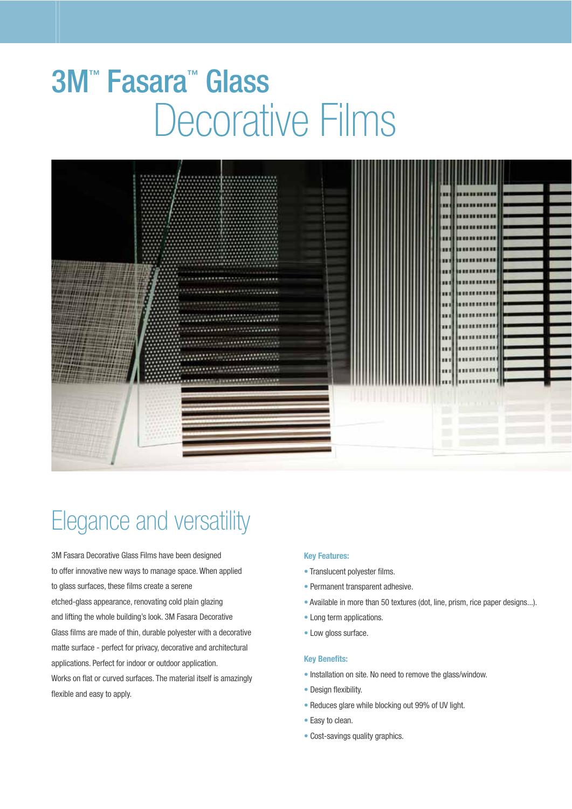## 3M™ Fasara™ Glass Decorative Films



### Elegance and versatility

3M Fasara Decorative Glass Films have been designed to offer innovative new ways to manage space. When applied to glass surfaces, these films create a serene etched-glass appearance, renovating cold plain glazing and lifting the whole building's look. 3M Fasara Decorative Glass films are made of thin, durable polyester with a decorative matte surface - perfect for privacy, decorative and architectural applications. Perfect for indoor or outdoor application. Works on flat or curved surfaces. The material itself is amazingly flexible and easy to apply.

#### Key Features:

- Translucent polyester films.
- Permanent transparent adhesive.
- Available in more than 50 textures (dot, line, prism, rice paper designs...).
- Long term applications.
- Low gloss surface.

#### Key Benefits:

- Installation on site. No need to remove the glass/window.
- Design flexibility.
- Reduces glare while blocking out 99% of UV light.
- Easy to clean.
- Cost-savings quality graphics.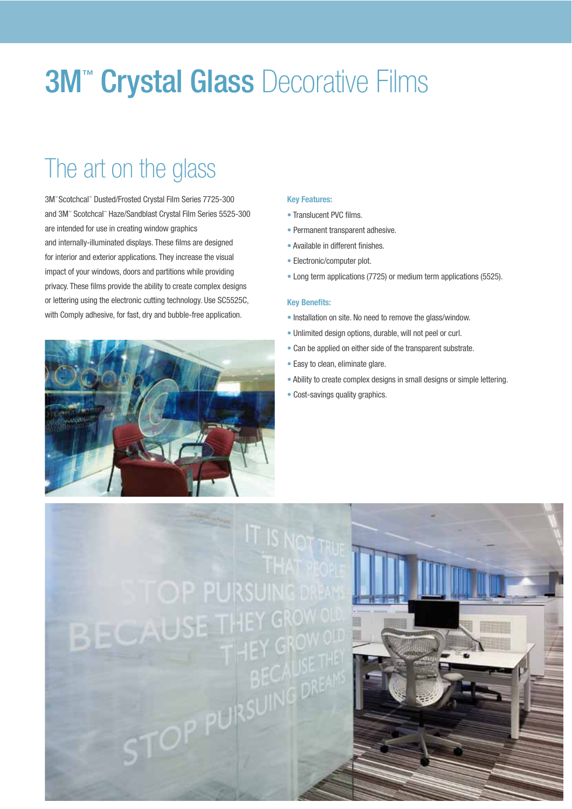## **3M<sup>™</sup> Crystal Glass Decorative Films**

### The art on the glass

3M™ Scotchcal™ Dusted/Frosted Crystal Film Series 7725-300 and 3M™ Scotchcal™ Haze/Sandblast Crystal Film Series 5525-300 are intended for use in creating window graphics and internally-illuminated displays. These films are designed for interior and exterior applications. They increase the visual impact of your windows, doors and partitions while providing privacy. These films provide the ability to create complex designs or lettering using the electronic cutting technology. Use SC5525C, with Comply adhesive, for fast, dry and bubble-free application.



#### Key Features:

- Translucent PVC films.
- Permanent transparent adhesive.
- Available in different finishes.
- Electronic/computer plot.
- Long term applications (7725) or medium term applications (5525).

#### Key Benefits:

- Installation on site. No need to remove the glass/window.
- Unlimited design options, durable, will not peel or curl.
- Can be applied on either side of the transparent substrate.
- Easy to clean, eliminate glare.
- Ability to create complex designs in small designs or simple lettering.
- Cost-savings quality graphics.

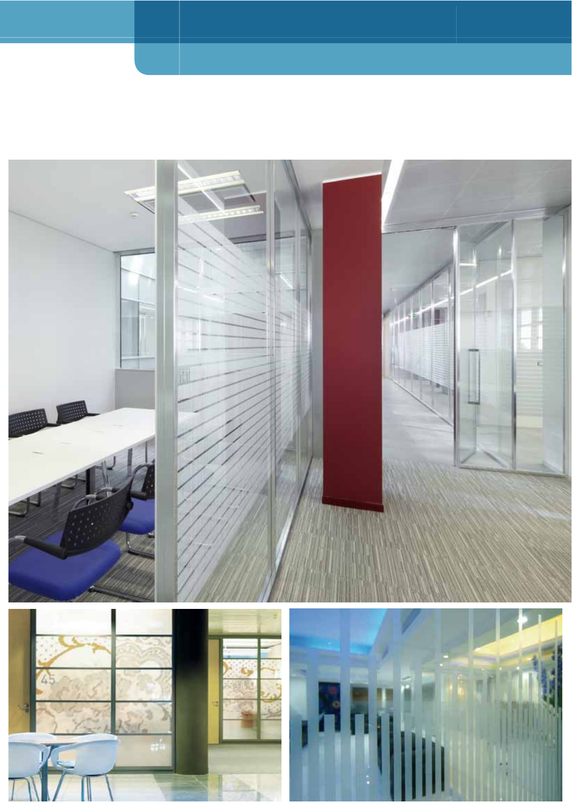